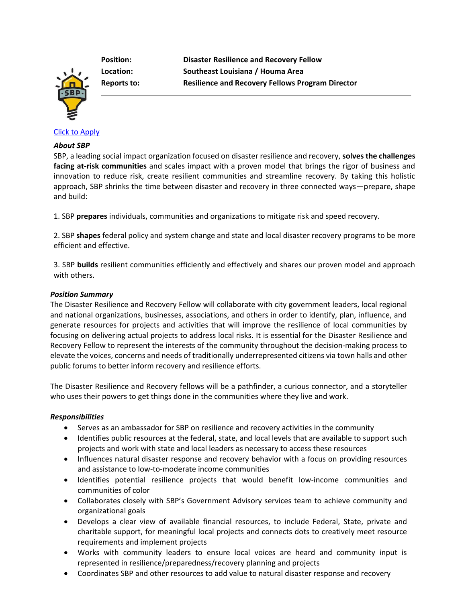**Position: Disaster Resilience and Recovery Fellow Location: Southeast Louisiana / Houma Area Reports to: Resilience and Recovery Fellows Program Director**

## [Click to Apply](https://recruiting.paylocity.com/recruiting/jobs/Apply/1117451/SBP/Disaster-Resilience-and-Recovery-Fellow)

#### *About SBP*

SBP, a leading social impact organization focused on disaster resilience and recovery, **solves the challenges facing at-risk communities** and scales impact with a proven model that brings the rigor of business and innovation to reduce risk, create resilient communities and streamline recovery. By taking this holistic approach, SBP shrinks the time between disaster and recovery in three connected ways—prepare, shape and build:

1. SBP **prepares** individuals, communities and organizations to mitigate risk and speed recovery.

2. SBP **shapes** federal policy and system change and state and local disaster recovery programs to be more efficient and effective.

3. SBP **builds** resilient communities efficiently and effectively and shares our proven model and approach with others.

### *Position Summary*

The Disaster Resilience and Recovery Fellow will collaborate with city government leaders, local regional and national organizations, businesses, associations, and others in order to identify, plan, influence, and generate resources for projects and activities that will improve the resilience of local communities by focusing on delivering actual projects to address local risks. It is essential for the Disaster Resilience and Recovery Fellow to represent the interests of the community throughout the decision-making process to elevate the voices, concerns and needs of traditionally underrepresented citizens via town halls and other public forums to better inform recovery and resilience efforts.

The Disaster Resilience and Recovery fellows will be a pathfinder, a curious connector, and a storyteller who uses their powers to get things done in the communities where they live and work.

#### *Responsibilities*

- Serves as an ambassador for SBP on resilience and recovery activities in the community
- Identifies public resources at the federal, state, and local levels that are available to support such projects and work with state and local leaders as necessary to access these resources
- Influences natural disaster response and recovery behavior with a focus on providing resources and assistance to low-to-moderate income communities
- Identifies potential resilience projects that would benefit low-income communities and communities of color
- Collaborates closely with SBP's Government Advisory services team to achieve community and organizational goals
- Develops a clear view of available financial resources, to include Federal, State, private and charitable support, for meaningful local projects and connects dots to creatively meet resource requirements and implement projects
- Works with community leaders to ensure local voices are heard and community input is represented in resilience/preparedness/recovery planning and projects
- Coordinates SBP and other resources to add value to natural disaster response and recovery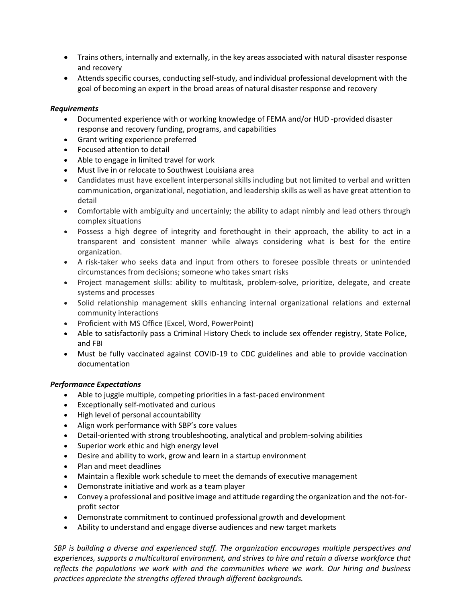- Trains others, internally and externally, in the key areas associated with natural disaster response and recovery
- Attends specific courses, conducting self-study, and individual professional development with the goal of becoming an expert in the broad areas of natural disaster response and recovery

## *Requirements*

- Documented experience with or working knowledge of FEMA and/or HUD -provided disaster response and recovery funding, programs, and capabilities
- Grant writing experience preferred
- Focused attention to detail
- Able to engage in limited travel for work
- Must live in or relocate to Southwest Louisiana area
- Candidates must have excellent interpersonal skills including but not limited to verbal and written communication, organizational, negotiation, and leadership skills as well as have great attention to detail
- Comfortable with ambiguity and uncertainly; the ability to adapt nimbly and lead others through complex situations
- Possess a high degree of integrity and forethought in their approach, the ability to act in a transparent and consistent manner while always considering what is best for the entire organization.
- A risk-taker who seeks data and input from others to foresee possible threats or unintended circumstances from decisions; someone who takes smart risks
- Project management skills: ability to multitask, problem-solve, prioritize, delegate, and create systems and processes
- Solid relationship management skills enhancing internal organizational relations and external community interactions
- Proficient with MS Office (Excel, Word, PowerPoint)
- Able to satisfactorily pass a Criminal History Check to include sex offender registry, State Police, and FBI
- Must be fully vaccinated against COVID-19 to CDC guidelines and able to provide vaccination documentation

# *Performance Expectations*

- Able to juggle multiple, competing priorities in a fast-paced environment
- Exceptionally self-motivated and curious
- High level of personal accountability
- Align work performance with SBP's core values
- Detail-oriented with strong troubleshooting, analytical and problem-solving abilities
- Superior work ethic and high energy level
- Desire and ability to work, grow and learn in a startup environment
- Plan and meet deadlines
- Maintain a flexible work schedule to meet the demands of executive management
- Demonstrate initiative and work as a team player
- Convey a professional and positive image and attitude regarding the organization and the not-forprofit sector
- Demonstrate commitment to continued professional growth and development
- Ability to understand and engage diverse audiences and new target markets

*SBP is building a diverse and experienced staff. The organization encourages multiple perspectives and experiences, supports a multicultural environment, and strives to hire and retain a diverse workforce that reflects the populations we work with and the communities where we work. Our hiring and business practices appreciate the strengths offered through different backgrounds.*